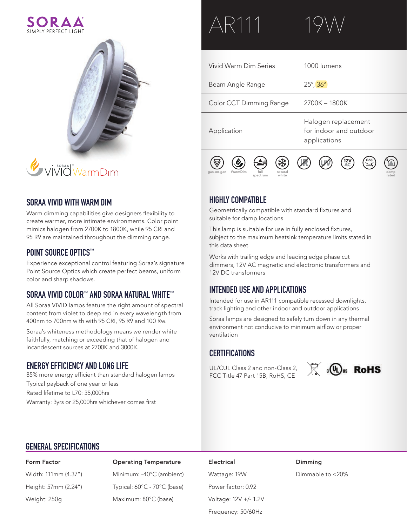



# **SORAA VIVID WITH WARM DIM**

Warm dimming capabilities give designers flexibility to create warmer, more intimate environments. Color point mimics halogen from 2700K to 1800K, while 95 CRI and 95 R9 are maintained throughout the dimming range.

### **POINT SOURCE OPTICS™**

Experience exceptional control featuring Soraa's signature Point Source Optics which create perfect beams, uniform color and sharp shadows.

# **SORAA VIVID COLOR™ AND SORAA NATURAL WHITE™**

All Soraa VIVID lamps feature the right amount of spectral content from violet to deep red in every wavelength from 400nm to 700nm with with 95 CRI, 95 R9 and 100 Rw.

Soraa's whiteness methodology means we render white faithfully, matching or exceeding that of halogen and incandescent sources at 2700K and 3000K.

# **ENERGY EFFICIENCY AND LONG LIFE**

85% more energy efficient than standard halogen lamps Typical payback of one year or less Rated lifetime to L70: 35,000hrs Warranty: 3yrs or 25,000hrs whichever comes first

# AR111

Vivid Warm Dim Series Beam Angle Range Color CCT Dimming Range Application 1000 lumens 25°, 36° 2700K – 1800K Halogen replacement for indoor and outdoor applications **12V AC**

# **HIGHLY COMPATIBLE**

gan-on-gan WarmDim

Geometrically compatible with standard fixtures and suitable for damp locations

natural white

This lamp is suitable for use in fully enclosed fixtures, subject to the maximum heatsink temperature limits stated in this data sheet.

Works with trailing edge and leading edge phase cut dimmers, 12V AC magnetic and electronic transformers and 12V DC transformers

# **INTENDED USE AND APPLICATIONS**

full spectrum

Intended for use in AR111 compatible recessed downlights, track lighting and other indoor and outdoor applications

Soraa lamps are designed to safely turn down in any thermal environment not conducive to minimum airflow or proper ventilation

# **CERTIFICATIONS**

UL/CUL Class 2 and non-Class 2, FCC Title 47 Part 15B, RoHS, CE



damp rated

# **GENERAL SPECIFICATIONS**

Form Factor Operating Temperature Electrical Dimming Width: 111mm (4.37") Minimum: -40°C (ambient) Wattage: 19W Dimmable to <20% Height: 57mm (2.24") Typical: 60°C - 70°C (base) Power factor: 0.92 Weight: 250g Maximum: 80°C (base) Voltage: 12V +/- 1.2V

Frequency: 50/60Hz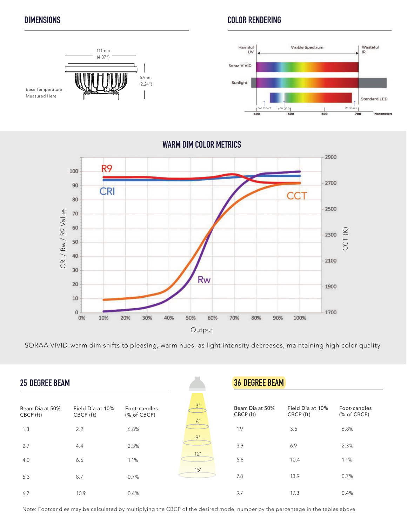Measured Here

# **DIMENSIONS COLOR RENDERING**



**WARM DIM COLOR METRICS**



SORAA VIVID-warm dim shifts to pleasing, warm hues, as light intensity decreases, maintaining high color quality.

| <b>25 DEGREE BEAM</b>        |                               |                             |                | <b>36 DEGREE BEAM</b>        |                               |                             |  |  |
|------------------------------|-------------------------------|-----------------------------|----------------|------------------------------|-------------------------------|-----------------------------|--|--|
| Beam Dia at 50%<br>CBCP (ft) | Field Dia at 10%<br>CBCP (ft) | Foot-candles<br>(% of CBCP) | 3'             | Beam Dia at 50%<br>CBCP (ft) | Field Dia at 10%<br>CBCP (ft) | Foot-candles<br>(% of CBCP) |  |  |
| 1.3                          | 2.2                           | 6.8%                        | 6 <sup>'</sup> | 1.9                          | 3.5                           | 6.8%                        |  |  |
| 2.7                          | 4.4                           | 2.3%                        | 9'             | 3.9                          | 6.9                           | 2.3%                        |  |  |
| 4.0                          | 6.6                           | 1.1%                        | 12'            | 5.8                          | 10.4                          | 1.1%                        |  |  |
| 5.3                          | 8.7                           | 0.7%                        | 15'            | 7.8                          | 13.9                          | 0.7%                        |  |  |
| 6.7                          | 10.9                          | 0.4%                        |                | 9.7                          | 17.3                          | 0.4%                        |  |  |

Note: Footcandles may be calculated by multiplying the CBCP of the desired model number by the percentage in the tables above